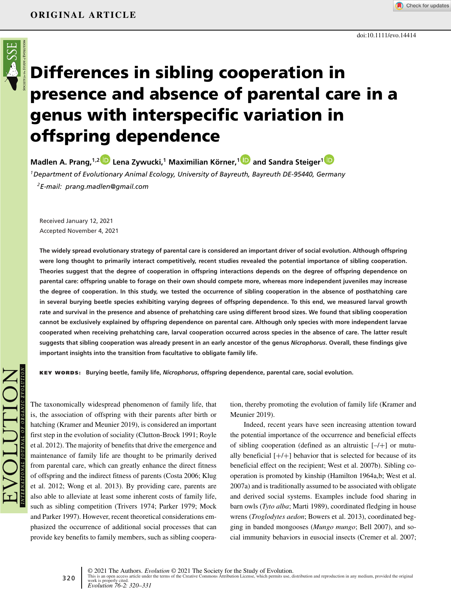

# **Differences in sibling cooperation in presence and absence of parental care in a genus with interspecific variation in offspring dependence**

**Madlen A. Prang,1,[2](https://orcid.org/0000-0001-5656-8357) Lena Zywucki,<sup>1</sup> Maximilian Körner,[1](https://orcid.org/0000-0001-9086-4731) and Sandra Steiger[1](https://orcid.org/0000-0002-9714-5665)**

*1Department of Evolutionary Animal Ecology, University of Bayreuth, Bayreuth DE-95440, Germany 2E-mail: prang.madlen@gmail.com*

Received January 12, 2021 Accepted November 4, 2021

**The widely spread evolutionary strategy of parental care is considered an important driver of social evolution. Although offspring were long thought to primarily interact competitively, recent studies revealed the potential importance of sibling cooperation. Theories suggest that the degree of cooperation in offspring interactions depends on the degree of offspring dependence on parental care: offspring unable to forage on their own should compete more, whereas more independent juveniles may increase the degree of cooperation. In this study, we tested the occurrence of sibling cooperation in the absence of posthatching care in several burying beetle species exhibiting varying degrees of offspring dependence. To this end, we measured larval growth rate and survival in the presence and absence of prehatching care using different brood sizes. We found that sibling cooperation cannot be exclusively explained by offspring dependence on parental care. Although only species with more independent larvae cooperated when receiving prehatching care, larval cooperation occurred across species in the absence of care. The latter result suggests that sibling cooperation was already present in an early ancestor of the genus** *Nicrophorus***. Overall, these findings give important insights into the transition from facultative to obligate family life.**

**KEY WORDS: Burying beetle, family life,** *Nicrophorus***, offspring dependence, parental care, social evolution.**

The taxonomically widespread phenomenon of family life, that is, the association of offspring with their parents after birth or hatching (Kramer and Meunier 2019), is considered an important first step in the evolution of sociality (Clutton-Brock 1991; Royle et al. 2012). The majority of benefits that drive the emergence and maintenance of family life are thought to be primarily derived from parental care, which can greatly enhance the direct fitness of offspring and the indirect fitness of parents (Costa 2006; Klug et al. 2012; Wong et al. 2013). By providing care, parents are also able to alleviate at least some inherent costs of family life, such as sibling competition (Trivers 1974; Parker 1979; Mock and Parker 1997). However, recent theoretical considerations emphasized the occurrence of additional social processes that can provide key benefits to family members, such as sibling cooperation, thereby promoting the evolution of family life (Kramer and Meunier 2019).

doi:10.1111/evo.14414

Check for updates

Indeed, recent years have seen increasing attention toward the potential importance of the occurrence and beneficial effects of sibling cooperation (defined as an altruistic  $[-/+]$  or mutually beneficial  $[+/+]$  behavior that is selected for because of its beneficial effect on the recipient; West et al. 2007b). Sibling cooperation is promoted by kinship (Hamilton 1964a,b; West et al. 2007a) and is traditionally assumed to be associated with obligate and derived social systems. Examples include food sharing in barn owls (*Tyto alba*; Marti 1989), coordinated fledging in house wrens (*Troglodytes aedon*; Bowers et al. 2013), coordinated begging in banded mongooses (*Mungo mungo*; Bell 2007), and social immunity behaviors in eusocial insects (Cremer et al. 2007;

320 © 2021 The Authors. *Evolution* © 2021 The Society for the Study of Evolution. This is an open access article under the terms of the [Creative Commons Attribution](http://creativecommons.org/licenses/by/4.0/) License, which permits use, distribution and reproduction in any medium, provided the original<br>work is properly cited.<br>EVolution 76-2: 320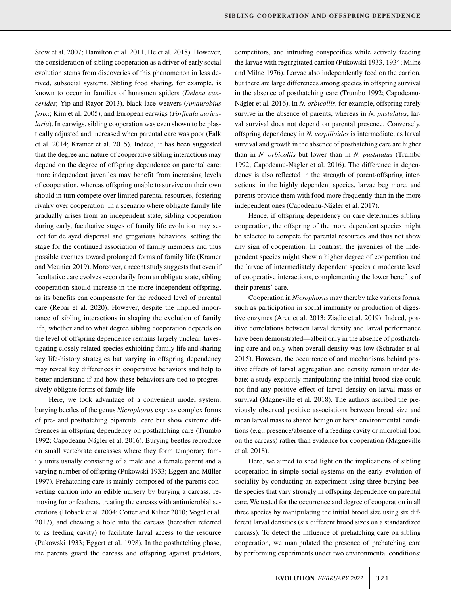Stow et al. 2007; Hamilton et al. 2011; He et al. 2018). However, the consideration of sibling cooperation as a driver of early social evolution stems from discoveries of this phenomenon in less derived, subsocial systems. Sibling food sharing, for example, is known to occur in families of huntsmen spiders (*Delena cancerides*; Yip and Rayor 2013), black lace-weavers (*Amaurobius ferox*; Kim et al. 2005), and European earwigs (*Forficula auricularia*). In earwigs, sibling cooperation was even shown to be plastically adjusted and increased when parental care was poor (Falk et al. 2014; Kramer et al. 2015). Indeed, it has been suggested that the degree and nature of cooperative sibling interactions may depend on the degree of offspring dependence on parental care: more independent juveniles may benefit from increasing levels of cooperation, whereas offspring unable to survive on their own should in turn compete over limited parental resources, fostering rivalry over cooperation. In a scenario where obligate family life gradually arises from an independent state, sibling cooperation during early, facultative stages of family life evolution may select for delayed dispersal and gregarious behaviors, setting the stage for the continued association of family members and thus possible avenues toward prolonged forms of family life (Kramer and Meunier 2019). Moreover, a recent study suggests that even if facultative care evolves secondarily from an obligate state, sibling cooperation should increase in the more independent offspring, as its benefits can compensate for the reduced level of parental care (Rebar et al. 2020). However, despite the implied importance of sibling interactions in shaping the evolution of family life, whether and to what degree sibling cooperation depends on the level of offspring dependence remains largely unclear. Investigating closely related species exhibiting family life and sharing key life-history strategies but varying in offspring dependency may reveal key differences in cooperative behaviors and help to better understand if and how these behaviors are tied to progressively obligate forms of family life.

Here, we took advantage of a convenient model system: burying beetles of the genus *Nicrophorus* express complex forms of pre- and posthatching biparental care but show extreme differences in offspring dependency on posthatching care (Trumbo 1992; Capodeanu-Nägler et al. 2016). Burying beetles reproduce on small vertebrate carcasses where they form temporary family units usually consisting of a male and a female parent and a varying number of offspring (Pukowski 1933; Eggert and Müller 1997). Prehatching care is mainly composed of the parents converting carrion into an edible nursery by burying a carcass, removing fur or feathers, treating the carcass with antimicrobial secretions (Hoback et al. 2004; Cotter and Kilner 2010; Vogel et al. 2017), and chewing a hole into the carcass (hereafter referred to as feeding cavity) to facilitate larval access to the resource (Pukowski 1933; Eggert et al. 1998). In the posthatching phase, the parents guard the carcass and offspring against predators,

competitors, and intruding conspecifics while actively feeding the larvae with regurgitated carrion (Pukowski 1933, 1934; Milne and Milne 1976). Larvae also independently feed on the carrion, but there are large differences among species in offspring survival in the absence of posthatching care (Trumbo 1992; Capodeanu-Nägler et al. 2016). In *N. orbicollis*, for example, offspring rarely survive in the absence of parents, whereas in *N. pustulatus*, larval survival does not depend on parental presence. Conversely, offspring dependency in *N. vespilloides* is intermediate, as larval survival and growth in the absence of posthatching care are higher than in *N. orbicollis* but lower than in *N. pustulatus* (Trumbo 1992; Capodeanu-Nägler et al. 2016). The difference in dependency is also reflected in the strength of parent-offspring interactions: in the highly dependent species, larvae beg more, and parents provide them with food more frequently than in the more independent ones (Capodeanu-Nägler et al. 2017).

Hence, if offspring dependency on care determines sibling cooperation, the offspring of the more dependent species might be selected to compete for parental resources and thus not show any sign of cooperation. In contrast, the juveniles of the independent species might show a higher degree of cooperation and the larvae of intermediately dependent species a moderate level of cooperative interactions, complementing the lower benefits of their parents' care.

Cooperation in *Nicrophorus* may thereby take various forms, such as participation in social immunity or production of digestive enzymes (Arce et al. 2013; Ziadie et al. 2019). Indeed, positive correlations between larval density and larval performance have been demonstrated—albeit only in the absence of posthatching care and only when overall density was low (Schrader et al. 2015). However, the occurrence of and mechanisms behind positive effects of larval aggregation and density remain under debate: a study explicitly manipulating the initial brood size could not find any positive effect of larval density on larval mass or survival (Magneville et al. 2018). The authors ascribed the previously observed positive associations between brood size and mean larval mass to shared benign or harsh environmental conditions (e.g., presence/absence of a feeding cavity or microbial load on the carcass) rather than evidence for cooperation (Magneville et al. 2018).

Here, we aimed to shed light on the implications of sibling cooperation in simple social systems on the early evolution of sociality by conducting an experiment using three burying beetle species that vary strongly in offspring dependence on parental care. We tested for the occurrence and degree of cooperation in all three species by manipulating the initial brood size using six different larval densities (six different brood sizes on a standardized carcass). To detect the influence of prehatching care on sibling cooperation, we manipulated the presence of prehatching care by performing experiments under two environmental conditions: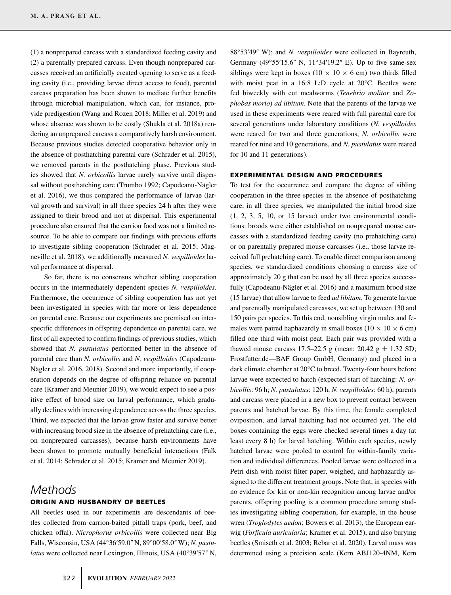(1) a nonprepared carcass with a standardized feeding cavity and (2) a parentally prepared carcass. Even though nonprepared carcasses received an artificially created opening to serve as a feeding cavity (i.e., providing larvae direct access to food), parental carcass preparation has been shown to mediate further benefits through microbial manipulation, which can, for instance, provide predigestion (Wang and Rozen 2018; Miller et al. 2019) and whose absence was shown to be costly (Shukla et al. 2018a) rendering an unprepared carcass a comparatively harsh environment. Because previous studies detected cooperative behavior only in the absence of posthatching parental care (Schrader et al. 2015), we removed parents in the posthatching phase. Previous studies showed that *N. orbicollis* larvae rarely survive until dispersal without posthatching care (Trumbo 1992; Capodeanu-Nägler et al. 2016), we thus compared the performance of larvae (larval growth and survival) in all three species 24 h after they were assigned to their brood and not at dispersal. This experimental procedure also ensured that the carrion food was not a limited resource. To be able to compare our findings with previous efforts to investigate sibling cooperation (Schrader et al. 2015; Magneville et al. 2018), we additionally measured *N. vespilloides* larval performance at dispersal.

So far, there is no consensus whether sibling cooperation occurs in the intermediately dependent species *N. vespilloides*. Furthermore, the occurrence of sibling cooperation has not yet been investigated in species with far more or less dependence on parental care. Because our experiments are premised on interspecific differences in offspring dependence on parental care, we first of all expected to confirm findings of previous studies, which showed that *N. pustulatus* performed better in the absence of parental care than *N. orbicollis* and *N. vespilloides* (Capodeanu-Nägler et al. 2016, 2018). Second and more importantly, if cooperation depends on the degree of offspring reliance on parental care (Kramer and Meunier 2019), we would expect to see a positive effect of brood size on larval performance, which gradually declines with increasing dependence across the three species. Third, we expected that the larvae grow faster and survive better with increasing brood size in the absence of prehatching care (i.e., on nonprepared carcasses), because harsh environments have been shown to promote mutually beneficial interactions (Falk et al. 2014; Schrader et al. 2015; Kramer and Meunier 2019).

## *Methods* **ORIGIN AND HUSBANDRY OF BEETLES**

All beetles used in our experiments are descendants of beetles collected from carrion-baited pitfall traps (pork, beef, and chicken offal). *Nicrophorus orbicollis* were collected near Big Falls, Wisconsin, USA (44°36ʹ59.0ʺ N, 89°00ʹ58.0ʺ W); *N. pustulatus* were collected near Lexington, Illinois, USA (40°39'57" N, 88°53ʹ49ʺ W); and *N. vespilloides* were collected in Bayreuth, Germany (49°55′15.6" N, 11°34′19.2" E). Up to five same-sex siblings were kept in boxes (10  $\times$  10  $\times$  6 cm) two thirds filled with moist peat in a 16:8 L:D cycle at 20°C. Beetles were fed biweekly with cut mealworms (*Tenebrio molitor* and *Zophobas morio*) *ad libitum*. Note that the parents of the larvae we used in these experiments were reared with full parental care for several generations under laboratory conditions (*N. vespilloides* were reared for two and three generations, *N. orbicollis* were reared for nine and 10 generations, and *N. pustulatus* were reared for 10 and 11 generations).

### **EXPERIMENTAL DESIGN AND PROCEDURES**

To test for the occurrence and compare the degree of sibling cooperation in the three species in the absence of posthatching care, in all three species, we manipulated the initial brood size (1, 2, 3, 5, 10, or 15 larvae) under two environmental conditions: broods were either established on nonprepared mouse carcasses with a standardized feeding cavity (no prehatching care) or on parentally prepared mouse carcasses (i.e., those larvae received full prehatching care). To enable direct comparison among species, we standardized conditions choosing a carcass size of approximately 20 g that can be used by all three species successfully (Capodeanu-Nägler et al. 2016) and a maximum brood size (15 larvae) that allow larvae to feed *ad libitum*. To generate larvae and parentally manipulated carcasses, we set up between 130 and 150 pairs per species. To this end, nonsibling virgin males and females were paired haphazardly in small boxes ( $10 \times 10 \times 6$  cm) filled one third with moist peat. Each pair was provided with a thawed mouse carcass 17.5–22.5 g (mean:  $20.42$  g  $\pm$  1.32 SD; Frostfutter.de—BAF Group GmbH, Germany) and placed in a dark climate chamber at 20°C to breed. Twenty-four hours before larvae were expected to hatch (expected start of hatching: *N. orbicollis*: 96 h; *N. pustulatus*: 120 h, *N. vespilloides*: 60 h), parents and carcass were placed in a new box to prevent contact between parents and hatched larvae. By this time, the female completed oviposition, and larval hatching had not occurred yet. The old boxes containing the eggs were checked several times a day (at least every 8 h) for larval hatching. Within each species, newly hatched larvae were pooled to control for within-family variation and individual differences. Pooled larvae were collected in a Petri dish with moist filter paper, weighed, and haphazardly assigned to the different treatment groups. Note that, in species with no evidence for kin or non-kin recognition among larvae and/or parents, offspring pooling is a common procedure among studies investigating sibling cooperation, for example, in the house wren (*Troglodytes aedon*; Bowers et al. 2013), the European earwig (*Forficula auricularia*; Kramer et al. 2015), and also burying beetles (Smiseth et al. 2003; Rebar et al. 2020). Larval mass was determined using a precision scale (Kern ABJ120-4NM, Kern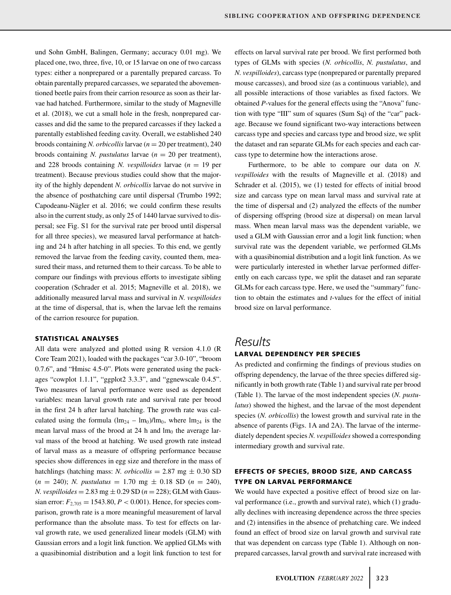und Sohn GmbH, Balingen, Germany; accuracy 0.01 mg). We placed one, two, three, five, 10, or 15 larvae on one of two carcass types: either a nonprepared or a parentally prepared carcass. To obtain parentally prepared carcasses, we separated the abovementioned beetle pairs from their carrion resource as soon as their larvae had hatched. Furthermore, similar to the study of Magneville et al. (2018), we cut a small hole in the fresh, nonprepared carcasses and did the same to the prepared carcasses if they lacked a parentally established feeding cavity. Overall, we established 240 broods containing *N. orbicollis* larvae (*n* = 20 per treatment), 240 broods containing *N. pustulatus* larvae (*n* = 20 per treatment), and 228 broods containing *N. vespilloides* larvae  $(n = 19$  per treatment). Because previous studies could show that the majority of the highly dependent *N. orbicollis* larvae do not survive in the absence of posthatching care until dispersal (Trumbo 1992; Capodeanu-Nägler et al. 2016; we could confirm these results also in the current study, as only 25 of 1440 larvae survived to dispersal; see Fig. S1 for the survival rate per brood until dispersal for all three species), we measured larval performance at hatching and 24 h after hatching in all species. To this end, we gently removed the larvae from the feeding cavity, counted them, measured their mass, and returned them to their carcass. To be able to compare our findings with previous efforts to investigate sibling cooperation (Schrader et al. 2015; Magneville et al. 2018), we additionally measured larval mass and survival in *N. vespilloides* at the time of dispersal, that is, when the larvae left the remains of the carrion resource for pupation.

### **STATISTICAL ANALYSES**

All data were analyzed and plotted using R version 4.1.0 (R Core Team 2021), loaded with the packages "car 3.0-10", "broom 0.7.6", and "Hmisc 4.5-0". Plots were generated using the packages "cowplot 1.1.1", "ggplot2 3.3.3", and "ggnewscale 0.4.5". Two measures of larval performance were used as dependent variables: mean larval growth rate and survival rate per brood in the first 24 h after larval hatching. The growth rate was calculated using the formula  $(lm_{24} - lm_0)/lm_0$ , where  $lm_{24}$  is the mean larval mass of the brood at 24 h and  $lm_0$  the average larval mass of the brood at hatching. We used growth rate instead of larval mass as a measure of offspring performance because species show differences in egg size and therefore in the mass of hatchlings (hatching mass: *N. orbicollis* = 2.87 mg  $\pm$  0.30 SD  $(n = 240)$ ; *N. pustulatus* = 1.70 mg  $\pm$  0.18 SD  $(n = 240)$ , *N. vespilloides* =  $2.83 \text{ mg} \pm 0.29 \text{ SD} (n = 228)$ ; GLM with Gaussian error:  $F_{2,705} = 1543.80, P < 0.001$ ). Hence, for species comparison, growth rate is a more meaningful measurement of larval performance than the absolute mass. To test for effects on larval growth rate, we used generalized linear models (GLM) with Gaussian errors and a logit link function. We applied GLMs with a quasibinomial distribution and a logit link function to test for

effects on larval survival rate per brood. We first performed both types of GLMs with species (*N. orbicollis*, *N. pustulatus*, and *N. vespilloides*), carcass type (nonprepared or parentally prepared mouse carcasses), and brood size (as a continuous variable), and all possible interactions of those variables as fixed factors. We obtained *P*-values for the general effects using the "Anova" function with type "III" sum of squares (Sum Sq) of the "car" package. Because we found significant two-way interactions between carcass type and species and carcass type and brood size, we split the dataset and ran separate GLMs for each species and each carcass type to determine how the interactions arose.

Furthermore, to be able to compare our data on *N. vespilloides* with the results of Magneville et al. (2018) and Schrader et al. (2015), we (1) tested for effects of initial brood size and carcass type on mean larval mass and survival rate at the time of dispersal and (2) analyzed the effects of the number of dispersing offspring (brood size at dispersal) on mean larval mass. When mean larval mass was the dependent variable, we used a GLM with Gaussian error and a logit link function; when survival rate was the dependent variable, we performed GLMs with a quasibinomial distribution and a logit link function. As we were particularly interested in whether larvae performed differently on each carcass type, we split the dataset and ran separate GLMs for each carcass type. Here, we used the "summary" function to obtain the estimates and *t*-values for the effect of initial brood size on larval performance.

# *Results*

### **LARVAL DEPENDENCY PER SPECIES**

As predicted and confirming the findings of previous studies on offspring dependency, the larvae of the three species differed significantly in both growth rate (Table 1) and survival rate per brood (Table 1). The larvae of the most independent species (*N. pustulatus*) showed the highest, and the larvae of the most dependent species (*N. orbicollis*) the lowest growth and survival rate in the absence of parents (Figs. 1A and 2A). The larvae of the intermediately dependent species *N. vespilloides*showed a corresponding intermediary growth and survival rate.

### **EFFECTS OF SPECIES, BROOD SIZE, AND CARCASS TYPE ON LARVAL PERFORMANCE**

We would have expected a positive effect of brood size on larval performance (i.e., growth and survival rate), which (1) gradually declines with increasing dependence across the three species and (2) intensifies in the absence of prehatching care. We indeed found an effect of brood size on larval growth and survival rate that was dependent on carcass type (Table 1). Although on nonprepared carcasses, larval growth and survival rate increased with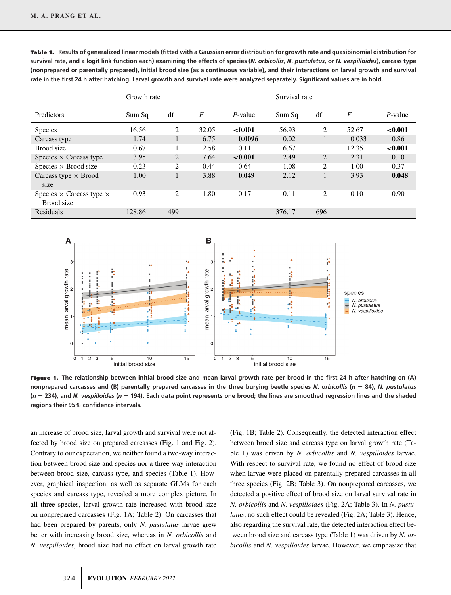|                                                      | Growth rate |                             |                  |            | Survival rate |                             |                  |            |  |
|------------------------------------------------------|-------------|-----------------------------|------------------|------------|---------------|-----------------------------|------------------|------------|--|
| Predictors                                           | Sum Sq      | df                          | $\boldsymbol{F}$ | P-value    | Sum Sq        | df                          | $\boldsymbol{F}$ | $P$ -value |  |
| <b>Species</b>                                       | 16.56       | 2                           | 32.05            | < 0.001    | 56.93         | $\overline{c}$              | 52.67            | ${<}0.001$ |  |
| Carcass type                                         | 1.74        | $\mathbf{1}$                | 6.75             | 0.0096     | 0.02          |                             | 0.033            | 0.86       |  |
| Brood size                                           | 0.67        | 1                           | 2.58             | 0.11       | 6.67          |                             | 12.35            | ${<}0.001$ |  |
| Species $\times$ Carcass type                        | 3.95        | 2                           | 7.64             | ${<}0.001$ | 2.49          | $\overline{2}$              | 2.31             | 0.10       |  |
| Species $\times$ Brood size                          | 0.23        | $\mathcal{D}_{\mathcal{L}}$ | 0.44             | 0.64       | 1.08          | $\mathcal{D}_{\mathcal{L}}$ | 1.00             | 0.37       |  |
| Carcass type $\times$ Brood<br>size                  | 1.00        | 1                           | 3.88             | 0.049      | 2.12          |                             | 3.93             | 0.048      |  |
| Species $\times$ Carcass type $\times$<br>Brood size | 0.93        | 2                           | 1.80             | 0.17       | 0.11          | 2                           | 0.10             | 0.90       |  |
| Residuals                                            | 128.86      | 499                         |                  |            | 376.17        | 696                         |                  |            |  |

**Table 1.** Results of generalized linear models (fitted with a Gaussian error distribution for growth rate and quasibinomial distribution for **survival rate, and a logit link function each) examining the effects of species (***N. orbicollis***,** *N. pustulatus***, or** *N. vespilloides***), carcass type (nonprepared or parentally prepared), initial brood size (as a continuous variable), and their interactions on larval growth and survival rate in the first 24 h after hatching. Larval growth and survival rate were analyzed separately. Significant values are in bold.**



**Figure 1. The relationship between initial brood size and mean larval growth rate per brood in the first 24 h after hatching on (A) nonprepared carcasses and (B) parentally prepared carcasses in the three burying beetle species** *N. orbicollis* **(***<sup>n</sup>* **<sup>=</sup> 84),** *N. pustulatus* **(***<sup>n</sup>* **<sup>=</sup> 234), and** *N. vespilloides* **(***<sup>n</sup>* **<sup>=</sup> 194). Each data point represents one brood; the lines are smoothed regression lines and the shaded regions their 95% confidence intervals.**

an increase of brood size, larval growth and survival were not affected by brood size on prepared carcasses (Fig. 1 and Fig. 2). Contrary to our expectation, we neither found a two-way interaction between brood size and species nor a three-way interaction between brood size, carcass type, and species (Table 1). However, graphical inspection, as well as separate GLMs for each species and carcass type, revealed a more complex picture. In all three species, larval growth rate increased with brood size on nonprepared carcasses (Fig. 1A; Table 2). On carcasses that had been prepared by parents, only *N. pustulatus* larvae grew better with increasing brood size, whereas in *N. orbicollis* and *N. vespilloides*, brood size had no effect on larval growth rate

(Fig. 1B; Table 2). Consequently, the detected interaction effect between brood size and carcass type on larval growth rate (Table 1) was driven by *N. orbicollis* and *N. vespilloides* larvae. With respect to survival rate, we found no effect of brood size when larvae were placed on parentally prepared carcasses in all three species (Fig. 2B; Table 3). On nonprepared carcasses, we detected a positive effect of brood size on larval survival rate in *N. orbicollis* and *N. vespilloides* (Fig. 2A; Table 3). In *N. pustulatus*, no such effect could be revealed (Fig. 2A; Table 3). Hence, also regarding the survival rate, the detected interaction effect between brood size and carcass type (Table 1) was driven by *N. orbicollis* and *N. vespilloides* larvae. However, we emphasize that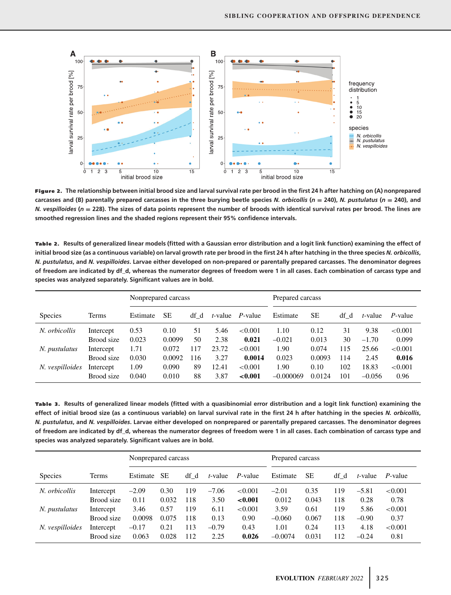

**Figure 2. The relationship between initial brood size and larval survival rate per brood in the first 24 h after hatching on (A) nonprepared carcasses and (B) parentally prepared carcasses in the three burying beetle species** *N. orbicollis* **(** $n = 240$ **),** *N. pustulatus* **(** $n = 240$ **), and** *N. vespilloides* **(***<sup>n</sup>* **<sup>=</sup> 228). The sizes of data points represent the number of broods with identical survival rates per brood. The lines are smoothed regression lines and the shaded regions represent their 95% confidence intervals.**

| Table 2. Results of generalized linear models (fitted with a Gaussian error distribution and a logit link function) examining the effect of        |
|----------------------------------------------------------------------------------------------------------------------------------------------------|
| initial brood size (as a continuous variable) on larval growth rate per brood in the first 24 h after hatching in the three species N. orbicollis, |
| N. pustulatus, and N. vespilloides. Larvae either developed on non-prepared or parentally prepared carcasses. The denominator degrees              |
| of freedom are indicated by df d, whereas the numerator degrees of freedom were 1 in all cases. Each combination of carcass type and               |
| species was analyzed separately. Significant values are in bold.                                                                                   |
|                                                                                                                                                    |

|                 |            | Nonprepared carcass |           |      |         |            | Prepared carcass |           |      |          |            |
|-----------------|------------|---------------------|-----------|------|---------|------------|------------------|-----------|------|----------|------------|
| <b>Species</b>  | Terms      | Estimate            | <b>SE</b> | df d | t-value | P-value    | Estimate         | <b>SE</b> | df d | t-value  | P-value    |
| N. orbicollis   | Intercept  | 0.53                | 0.10      | 51   | 5.46    | < 0.001    | 1.10             | 0.12      | 31   | 9.38     | ${<}0.001$ |
|                 | Brood size | 0.023               | 0.0099    | 50   | 2.38    | 0.021      | $-0.021$         | 0.013     | 30   | $-1.70$  | 0.099      |
| N. pustulatus   | Intercept  | 1.71                | 0.072     | 117  | 23.72   | < 0.001    | 1.90             | 0.074     | 115  | 25.66    | < 0.001    |
|                 | Brood size | 0.030               | 0.0092    | 116  | 3.27    | 0.0014     | 0.023            | 0.0093    | 114  | 2.45     | 0.016      |
| N. vespilloides | Intercept  | 1.09                | 0.090     | 89   | 12.41   | ${<}0.001$ | 1.90             | 0.10      | 102  | 18.83    | ${<}0.001$ |
|                 | Brood size | 0.040               | 0.010     | 88   | 3.87    | ${<}0.001$ | $-0.000069$      | 0.0124    | 101  | $-0.056$ | 0.96       |

Table 3. Results of generalized linear models (fitted with a quasibinomial error distribution and a logit link function) examining the **effect of initial brood size (as a continuous variable) on larval survival rate in the first 24 h after hatching in the species** *N. orbicollis***,** *N. pustulatus***, and** *N. vespilloides***. Larvae either developed on nonprepared or parentally prepared carcasses. The denominator degrees of freedom are indicated by df\_d, whereas the numerator degrees of freedom were 1 in all cases. Each combination of carcass type and species was analyzed separately. Significant values are in bold.**

|                 |            | Nonprepared carcass |           |      |         |            | Prepared carcass |           |      |         |            |  |
|-----------------|------------|---------------------|-----------|------|---------|------------|------------------|-----------|------|---------|------------|--|
| <b>Species</b>  | Terms      | Estimate            | <b>SE</b> | df d | t-value | $P$ -value | Estimate         | <b>SE</b> | df d | t-value | P-value    |  |
| N. orbicollis   | Intercept  | $-2.09$             | 0.30      | 119  | $-7.06$ | < 0.001    | $-2.01$          | 0.35      | 119  | $-5.81$ | ${<}0.001$ |  |
|                 | Brood size | 0.11                | 0.032     | 118  | 3.50    | ${<}0.001$ | 0.012            | 0.043     | 118  | 0.28    | 0.78       |  |
| N. pustulatus   | Intercept  | 3.46                | 0.57      | 119  | 6.11    | < 0.001    | 3.59             | 0.61      | 119  | 5.86    | < 0.001    |  |
|                 | Brood size | 0.0098              | 0.075     | 118  | 0.13    | 0.90       | $-0.060$         | 0.067     | 118  | $-0.90$ | 0.37       |  |
| N. vespilloides | Intercept  | $-0.17$             | 0.21      | 113  | $-0.79$ | 0.43       | 1.01             | 0.24      | 113  | 4.18    | ${<}0.001$ |  |
|                 | Brood size | 0.063               | 0.028     | 112  | 2.25    | 0.026      | $-0.0074$        | 0.031     | 112  | $-0.24$ | 0.81       |  |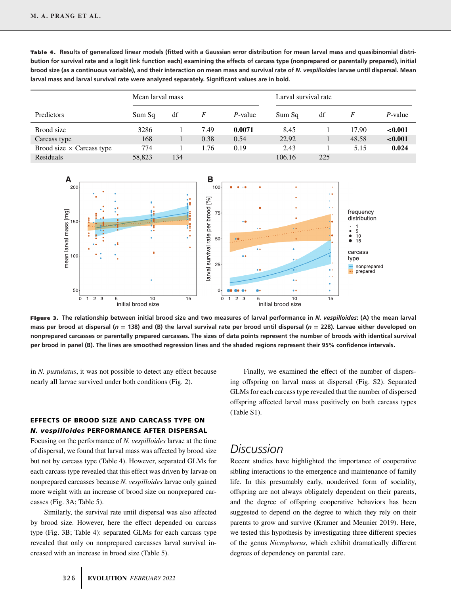|                                  | Mean larval mass |     |      |            | Larval survival rate |     |       |            |
|----------------------------------|------------------|-----|------|------------|----------------------|-----|-------|------------|
| Predictors                       | Sum Sq           | df  | F    | $P$ -value | Sum Sq               | df  |       | $P$ -value |
| Brood size                       | 3286             |     | 7.49 | 0.0071     | 8.45                 |     | 17.90 | ${<}0.001$ |
| Carcass type                     | 168              |     | 0.38 | 0.54       | 22.92                |     | 48.58 | ${<}0.001$ |
| Brood size $\times$ Carcass type | 774              |     | 1.76 | 0.19       | 2.43                 |     | 5.15  | 0.024      |
| Residuals                        | 58,823           | 134 |      |            | 106.16               | 225 |       |            |

Table 4. Results of generalized linear models (fitted with a Gaussian error distribution for mean larval mass and quasibinomial distri**bution for survival rate and a logit link function each) examining the effects of carcass type (nonprepared or parentally prepared), initial brood size (as a continuous variable), and their interaction on mean mass and survival rate of** *N. vespilloides* **larvae until dispersal. Mean larval mass and larval survival rate were analyzed separately. Significant values are in bold.**



**Figure 3. The relationship between initial brood size and two measures of larval performance in** *N. vespilloides***: (A) the mean larval mass per brood at dispersal (***<sup>n</sup>* **<sup>=</sup> 138) and (B) the larval survival rate per brood until dispersal (***<sup>n</sup>* **<sup>=</sup> 228). Larvae either developed on nonprepared carcasses or parentally prepared carcasses. The sizes of data points represent the number of broods with identical survival per brood in panel (B). The lines are smoothed regression lines and the shaded regions represent their 95% confidence intervals.**

in *N. pustulatus*, it was not possible to detect any effect because nearly all larvae survived under both conditions (Fig. 2).

### **EFFECTS OF BROOD SIZE AND CARCASS TYPE ON** *N. vespilloides* **PERFORMANCE AFTER DISPERSAL**

Focusing on the performance of *N. vespilloides* larvae at the time of dispersal, we found that larval mass was affected by brood size but not by carcass type (Table 4). However, separated GLMs for each carcass type revealed that this effect was driven by larvae on nonprepared carcasses because *N. vespilloides* larvae only gained more weight with an increase of brood size on nonprepared carcasses (Fig. 3A; Table 5).

Similarly, the survival rate until dispersal was also affected by brood size. However, here the effect depended on carcass type (Fig. 3B; Table 4): separated GLMs for each carcass type revealed that only on nonprepared carcasses larval survival increased with an increase in brood size (Table 5).

Finally, we examined the effect of the number of dispersing offspring on larval mass at dispersal (Fig. S2). Separated GLMs for each carcass type revealed that the number of dispersed offspring affected larval mass positively on both carcass types (Table S1).

# *Discussion*

Recent studies have highlighted the importance of cooperative sibling interactions to the emergence and maintenance of family life. In this presumably early, nonderived form of sociality, offspring are not always obligately dependent on their parents, and the degree of offspring cooperative behaviors has been suggested to depend on the degree to which they rely on their parents to grow and survive (Kramer and Meunier 2019). Here, we tested this hypothesis by investigating three different species of the genus *Nicrophorus*, which exhibit dramatically different degrees of dependency on parental care.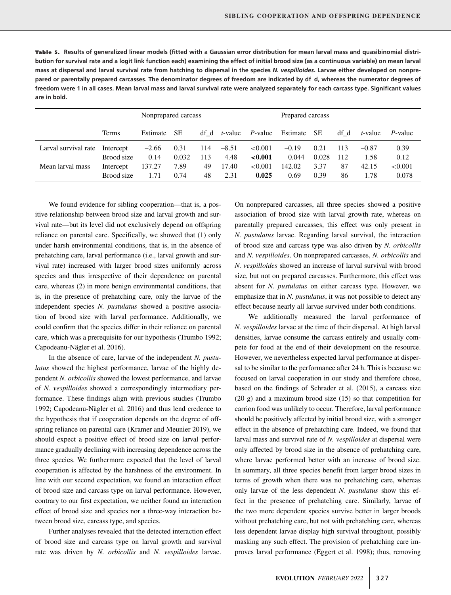| Table 5. Results of generalized linear models (fitted with a Gaussian error distribution for mean larval mass and quasibinomial distri-       |
|-----------------------------------------------------------------------------------------------------------------------------------------------|
| bution for survival rate and a logit link function each) examining the effect of initial brood size (as a continuous variable) on mean larval |
| mass at dispersal and larval survival rate from hatching to dispersal in the species N. vespilloides. Larvae either developed on nonpre-      |
| pared or parentally prepared carcasses. The denominator degrees of freedom are indicated by df d, whereas the numerator degrees of            |
| freedom were 1 in all cases. Mean larval mass and larval survival rate were analyzed separately for each carcass type. Significant values     |
| are in bold.                                                                                                                                  |
|                                                                                                                                               |

|                      |            | Nonprepared carcass |           |      |         |            | Prepared carcass |       |      |         |                 |  |
|----------------------|------------|---------------------|-----------|------|---------|------------|------------------|-------|------|---------|-----------------|--|
|                      | Terms      | Estimate            | <b>SE</b> | df d | t-value | P-value    | Estimate         | SE    | df d | t-value | <i>P</i> -value |  |
| Larval survival rate | Intercept  | $-2.66$             | 0.31      | 114  | $-8.51$ | ${<}0.001$ | $-0.19$          | 0.21  | 113  | $-0.87$ | 0.39            |  |
|                      | Brood size | 0.14                | 0.032     | 113  | 4.48    | ${<}0.001$ | 0.044            | 0.028 | 112  | 1.58    | 0.12            |  |
| Mean larval mass     | Intercept  | 137.27              | 7.89      | 49   | 17.40   | ${<}0.001$ | 142.02           | 3.37  | 87   | 42.15   | ${<}0.001$      |  |
|                      | Brood size | 1.71                | 0.74      | 48   | 2.31    | 0.025      | 0.69             | 0.39  | 86   | 1.78    | 0.078           |  |

We found evidence for sibling cooperation—that is, a positive relationship between brood size and larval growth and survival rate—but its level did not exclusively depend on offspring reliance on parental care. Specifically, we showed that (1) only under harsh environmental conditions, that is, in the absence of prehatching care, larval performance (i.e., larval growth and survival rate) increased with larger brood sizes uniformly across species and thus irrespective of their dependence on parental care, whereas (2) in more benign environmental conditions, that is, in the presence of prehatching care, only the larvae of the independent species *N. pustulatus* showed a positive association of brood size with larval performance. Additionally, we could confirm that the species differ in their reliance on parental care, which was a prerequisite for our hypothesis (Trumbo 1992; Capodeanu-Nägler et al. 2016).

In the absence of care, larvae of the independent *N. pustulatus* showed the highest performance, larvae of the highly dependent *N. orbicollis* showed the lowest performance, and larvae of *N. vespilloides* showed a correspondingly intermediary performance. These findings align with previous studies (Trumbo 1992; Capodeanu-Nägler et al. 2016) and thus lend credence to the hypothesis that if cooperation depends on the degree of offspring reliance on parental care (Kramer and Meunier 2019), we should expect a positive effect of brood size on larval performance gradually declining with increasing dependence across the three species. We furthermore expected that the level of larval cooperation is affected by the harshness of the environment. In line with our second expectation, we found an interaction effect of brood size and carcass type on larval performance. However, contrary to our first expectation, we neither found an interaction effect of brood size and species nor a three-way interaction between brood size, carcass type, and species.

Further analyses revealed that the detected interaction effect of brood size and carcass type on larval growth and survival rate was driven by *N. orbicollis* and *N. vespilloides* larvae.

On nonprepared carcasses, all three species showed a positive association of brood size with larval growth rate, whereas on parentally prepared carcasses, this effect was only present in *N. pustulatus* larvae. Regarding larval survival, the interaction of brood size and carcass type was also driven by *N. orbicollis* and *N. vespilloides*. On nonprepared carcasses, *N. orbicollis* and *N. vespilloides* showed an increase of larval survival with brood size, but not on prepared carcasses. Furthermore, this effect was absent for *N. pustulatus* on either carcass type. However, we emphasize that in *N. pustulatus*, it was not possible to detect any effect because nearly all larvae survived under both conditions.

We additionally measured the larval performance of *N. vespilloides* larvae at the time of their dispersal. At high larval densities, larvae consume the carcass entirely and usually compete for food at the end of their development on the resource. However, we nevertheless expected larval performance at dispersal to be similar to the performance after 24 h. This is because we focused on larval cooperation in our study and therefore chose, based on the findings of Schrader et al. (2015), a carcass size (20 g) and a maximum brood size (15) so that competition for carrion food was unlikely to occur. Therefore, larval performance should be positively affected by initial brood size, with a stronger effect in the absence of prehatching care. Indeed, we found that larval mass and survival rate of *N. vespilloides* at dispersal were only affected by brood size in the absence of prehatching care, where larvae performed better with an increase of brood size. In summary, all three species benefit from larger brood sizes in terms of growth when there was no prehatching care, whereas only larvae of the less dependent *N. pustulatus* show this effect in the presence of prehatching care. Similarly, larvae of the two more dependent species survive better in larger broods without prehatching care, but not with prehatching care, whereas less dependent larvae display high survival throughout, possibly masking any such effect. The provision of prehatching care improves larval performance (Eggert et al. 1998); thus, removing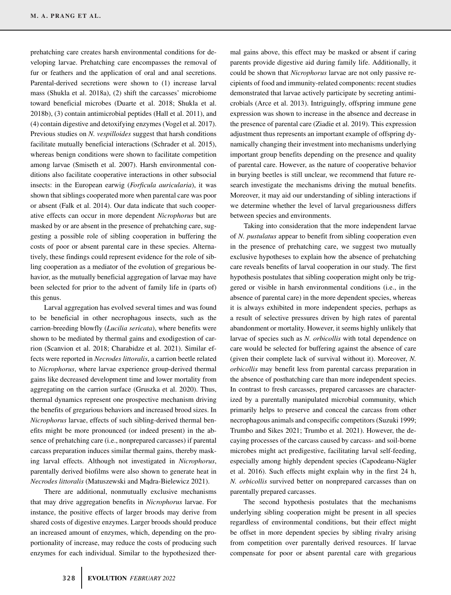prehatching care creates harsh environmental conditions for developing larvae. Prehatching care encompasses the removal of fur or feathers and the application of oral and anal secretions. Parental-derived secretions were shown to (1) increase larval mass (Shukla et al. 2018a), (2) shift the carcasses' microbiome toward beneficial microbes (Duarte et al. 2018; Shukla et al. 2018b), (3) contain antimicrobial peptides (Hall et al. 2011), and (4) contain digestive and detoxifying enzymes (Vogel et al. 2017). Previous studies on *N. vespilloides* suggest that harsh conditions facilitate mutually beneficial interactions (Schrader et al. 2015), whereas benign conditions were shown to facilitate competition among larvae (Smiseth et al. 2007). Harsh environmental conditions also facilitate cooperative interactions in other subsocial insects: in the European earwig (*Forficula auricularia*), it was shown that siblings cooperated more when parental care was poor or absent (Falk et al. 2014). Our data indicate that such cooperative effects can occur in more dependent *Nicrophorus* but are masked by or are absent in the presence of prehatching care, suggesting a possible role of sibling cooperation in buffering the costs of poor or absent parental care in these species. Alternatively, these findings could represent evidence for the role of sibling cooperation as a mediator of the evolution of gregarious behavior, as the mutually beneficial aggregation of larvae may have been selected for prior to the advent of family life in (parts of) this genus.

Larval aggregation has evolved several times and was found to be beneficial in other necrophagous insects, such as the carrion-breeding blowfly (*Lucilia sericata*), where benefits were shown to be mediated by thermal gains and exodigestion of carrion (Scanvion et al. 2018; Charabidze et al. 2021). Similar effects were reported in *Necrodes littoralis*, a carrion beetle related to *Nicrophorus*, where larvae experience group-derived thermal gains like decreased development time and lower mortality from aggregating on the carrion surface (Gruszka et al. 2020). Thus, thermal dynamics represent one prospective mechanism driving the benefits of gregarious behaviors and increased brood sizes. In *Nicrophorus* larvae, effects of such sibling-derived thermal benefits might be more pronounced (or indeed present) in the absence of prehatching care (i.e., nonprepared carcasses) if parental carcass preparation induces similar thermal gains, thereby masking larval effects. Although not investigated in *Nicrophorus*, parentally derived biofilms were also shown to generate heat in *Necrodes littoralis* (Matuszewski and Madra-Bielewicz 2021).

There are additional, nonmutually exclusive mechanisms that may drive aggregation benefits in *Nicrophorus* larvae. For instance, the positive effects of larger broods may derive from shared costs of digestive enzymes. Larger broods should produce an increased amount of enzymes, which, depending on the proportionality of increase, may reduce the costs of producing such enzymes for each individual. Similar to the hypothesized thermal gains above, this effect may be masked or absent if caring parents provide digestive aid during family life. Additionally, it could be shown that *Nicrophorus* larvae are not only passive recipients of food and immunity-related components: recent studies demonstrated that larvae actively participate by secreting antimicrobials (Arce et al. 2013). Intriguingly, offspring immune gene expression was shown to increase in the absence and decrease in the presence of parental care (Ziadie et al. 2019). This expression adjustment thus represents an important example of offspring dynamically changing their investment into mechanisms underlying important group benefits depending on the presence and quality of parental care. However, as the nature of cooperative behavior in burying beetles is still unclear, we recommend that future research investigate the mechanisms driving the mutual benefits. Moreover, it may aid our understanding of sibling interactions if we determine whether the level of larval gregariousness differs between species and environments.

Taking into consideration that the more independent larvae of *N. pustulatus* appear to benefit from sibling cooperation even in the presence of prehatching care, we suggest two mutually exclusive hypotheses to explain how the absence of prehatching care reveals benefits of larval cooperation in our study. The first hypothesis postulates that sibling cooperation might only be triggered or visible in harsh environmental conditions (i.e., in the absence of parental care) in the more dependent species, whereas it is always exhibited in more independent species, perhaps as a result of selective pressures driven by high rates of parental abandonment or mortality. However, it seems highly unlikely that larvae of species such as *N. orbicollis* with total dependence on care would be selected for buffering against the absence of care (given their complete lack of survival without it). Moreover, *N. orbicollis* may benefit less from parental carcass preparation in the absence of posthatching care than more independent species. In contrast to fresh carcasses, prepared carcasses are characterized by a parentally manipulated microbial community, which primarily helps to preserve and conceal the carcass from other necrophagous animals and conspecific competitors (Suzuki 1999; Trumbo and Sikes 2021; Trumbo et al. 2021). However, the decaying processes of the carcass caused by carcass- and soil-borne microbes might act predigestive, facilitating larval self-feeding, especially among highly dependent species (Capodeanu-Nägler et al. 2016). Such effects might explain why in the first 24 h, *N. orbicollis* survived better on nonprepared carcasses than on parentally prepared carcasses.

The second hypothesis postulates that the mechanisms underlying sibling cooperation might be present in all species regardless of environmental conditions, but their effect might be offset in more dependent species by sibling rivalry arising from competition over parentally derived resources. If larvae compensate for poor or absent parental care with gregarious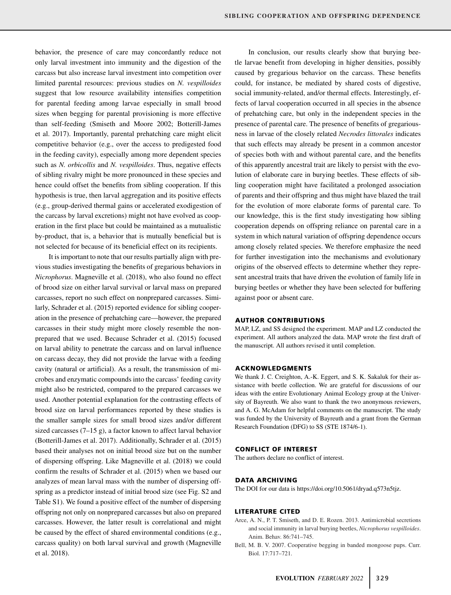behavior, the presence of care may concordantly reduce not only larval investment into immunity and the digestion of the carcass but also increase larval investment into competition over limited parental resources: previous studies on *N. vespilloides* suggest that low resource availability intensifies competition for parental feeding among larvae especially in small brood sizes when begging for parental provisioning is more effective than self-feeding (Smiseth and Moore 2002; Botterill-James et al. 2017). Importantly, parental prehatching care might elicit competitive behavior (e.g., over the access to predigested food in the feeding cavity), especially among more dependent species such as *N. orbicollis* and *N. vespilloides*. Thus, negative effects of sibling rivalry might be more pronounced in these species and hence could offset the benefits from sibling cooperation. If this hypothesis is true, then larval aggregation and its positive effects (e.g., group-derived thermal gains or accelerated exodigestion of the carcass by larval excretions) might not have evolved as cooperation in the first place but could be maintained as a mutualistic by-product, that is, a behavior that is mutually beneficial but is not selected for because of its beneficial effect on its recipients.

It is important to note that our results partially align with previous studies investigating the benefits of gregarious behaviors in *Nicrophorus*. Magneville et al. (2018), who also found no effect of brood size on either larval survival or larval mass on prepared carcasses, report no such effect on nonprepared carcasses. Similarly, Schrader et al. (2015) reported evidence for sibling cooperation in the presence of prehatching care—however, the prepared carcasses in their study might more closely resemble the nonprepared that we used. Because Schrader et al. (2015) focused on larval ability to penetrate the carcass and on larval influence on carcass decay, they did not provide the larvae with a feeding cavity (natural or artificial). As a result, the transmission of microbes and enzymatic compounds into the carcass' feeding cavity might also be restricted, compared to the prepared carcasses we used. Another potential explanation for the contrasting effects of brood size on larval performances reported by these studies is the smaller sample sizes for small brood sizes and/or different sized carcasses (7–15 g), a factor known to affect larval behavior (Botterill-James et al. 2017). Additionally, Schrader et al. (2015) based their analyses not on initial brood size but on the number of dispersing offspring. Like Magneville et al. (2018) we could confirm the results of Schrader et al. (2015) when we based our analyzes of mean larval mass with the number of dispersing offspring as a predictor instead of initial brood size (see Fig. S2 and Table S1). We found a positive effect of the number of dispersing offspring not only on nonprepared carcasses but also on prepared carcasses. However, the latter result is correlational and might be caused by the effect of shared environmental conditions (e.g., carcass quality) on both larval survival and growth (Magneville et al. 2018).

In conclusion, our results clearly show that burying beetle larvae benefit from developing in higher densities, possibly caused by gregarious behavior on the carcass. These benefits could, for instance, be mediated by shared costs of digestive, social immunity-related, and/or thermal effects. Interestingly, effects of larval cooperation occurred in all species in the absence of prehatching care, but only in the independent species in the presence of parental care. The presence of benefits of gregariousness in larvae of the closely related *Necrodes littorales* indicates that such effects may already be present in a common ancestor of species both with and without parental care, and the benefits of this apparently ancestral trait are likely to persist with the evolution of elaborate care in burying beetles. These effects of sibling cooperation might have facilitated a prolonged association of parents and their offspring and thus might have blazed the trail for the evolution of more elaborate forms of parental care. To our knowledge, this is the first study investigating how sibling cooperation depends on offspring reliance on parental care in a system in which natural variation of offspring dependence occurs among closely related species. We therefore emphasize the need for further investigation into the mechanisms and evolutionary origins of the observed effects to determine whether they represent ancestral traits that have driven the evolution of family life in burying beetles or whether they have been selected for buffering against poor or absent care.

#### **AUTHOR CONTRIBUTIONS**

MAP, LZ, and SS designed the experiment. MAP and LZ conducted the experiment. All authors analyzed the data. MAP wrote the first draft of the manuscript. All authors revised it until completion.

#### **ACKNOWLEDGMENTS**

We thank J. C. Creighton, A.-K. Eggert, and S. K. Sakaluk for their assistance with beetle collection. We are grateful for discussions of our ideas with the entire Evolutionary Animal Ecology group at the University of Bayreuth. We also want to thank the two anonymous reviewers, and A. G. McAdam for helpful comments on the manuscript. The study was funded by the University of Bayreuth and a grant from the German Research Foundation (DFG) to SS (STE 1874/6-1).

#### **CONFLICT OF INTEREST**

The authors declare no conflict of interest.

### **DATA ARCHIVING**

The DOI for our data is [https://doi.org/10.5061/dryad.q573n5tjz.](https://doi.org/10.5061/dryad.q573n5tjz)

#### **LITERATURE CITED**

- Arce, A. N., P. T. Smiseth, and D. E. Rozen. 2013. Antimicrobial secretions and social immunity in larval burying beetles, *Nicrophorus vespilloides*. Anim. Behav. 86:741–745.
- Bell, M. B. V. 2007. Cooperative begging in banded mongoose pups. Curr. Biol. 17:717–721.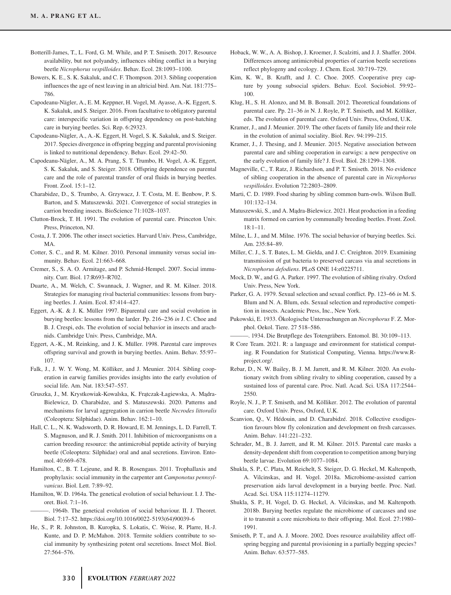- Botterill-James, T., L. Ford, G. M. While, and P. T. Smiseth. 2017. Resource availability, but not polyandry, influences sibling conflict in a burying beetle *Nicrophorus vespilloides*. Behav. Ecol. 28:1093–1100.
- Bowers, K. E., S. K. Sakaluk, and C. F. Thompson. 2013. Sibling cooperation influences the age of nest leaving in an altricial bird. Am. Nat. 181:775– 786.
- Capodeanu-Nägler, A., E. M. Keppner, H. Vogel, M. Ayasse, A.-K. Eggert, S. K. Sakaluk, and S. Steiger. 2016. From facultative to obligatory parental care: interspecific variation in offspring dependency on post-hatching care in burying beetles. Sci. Rep. 6:29323.
- Capodeanu-Nägler, A., A.-K. Eggert, H. Vogel, S. K. Sakaluk, and S. Steiger. 2017. Species divergence in offspring begging and parental provisioning is linked to nutritional dependency. Behav. Ecol. 29:42–50.
- Capodeanu-Nägler, A., M. A. Prang, S. T. Trumbo, H. Vogel, A.-K. Eggert, S. K. Sakaluk, and S. Steiger. 2018. Offspring dependence on parental care and the role of parental transfer of oral fluids in burying beetles. Front. Zool. 15:1–12.
- Charabidze, D., S. Trumbo, A. Grzywacz, J. T. Costa, M. E. Benbow, P. S. Barton, and S. Matuszewski. 2021. Convergence of social strategies in carrion breeding insects. BioScience 71:1028–1037.
- Clutton-Brock, T. H. 1991. The evolution of parental care. Princeton Univ. Press, Princeton, NJ.
- Costa, J. T. 2006. The other insect societies. Harvard Univ. Press, Cambridge, MA.
- Cotter, S. C., and R. M. Kilner. 2010. Personal immunity versus social immunity. Behav. Ecol. 21:663–668.
- Cremer, S., S. A. O. Armitage, and P. Schmid-Hempel. 2007. Social immunity. Curr. Biol. 17:R693–R702.
- Duarte, A., M. Welch, C. Swannack, J. Wagner, and R. M. Kilner. 2018. Strategies for managing rival bacterial communities: lessons from burying beetles. J. Anim. Ecol. 87:414–427.
- Eggert, A.-K. & J. K. Müller 1997. Biparental care and social evolution in burying beetles: lessons from the larder. Pp. 216–236 *in* J. C. Choe and B. J. Crespi, eds. The evolution of social behavior in insects and arachnids. Cambridge Univ. Press, Cambridge, MA.
- Eggert, A.-K., M. Reinking, and J. K. Müller. 1998. Parental care improves offspring survival and growth in burying beetles. Anim. Behav. 55:97– 107.
- Falk, J., J. W. Y. Wong, M. Kölliker, and J. Meunier. 2014. Sibling cooperation in earwig families provides insights into the early evolution of social life. Am. Nat. 183:547–557.
- Gruszka, J., M. Krystkowiak-Kowalska, K. Frątczak-Łagiewska, A. Mądra-Bielewicz, D. Charabidze, and S. Matuszewski. 2020. Patterns and mechanisms for larval aggregation in carrion beetle *Necrodes littoralis* (Coleoptera: Silphidae). Anim. Behav. 162:1–10.
- Hall, C. L., N. K. Wadsworth, D. R. Howard, E. M. Jennings, L. D. Farrell, T. S. Magnuson, and R. J. Smith. 2011. Inhibition of microorganisms on a carrion breeding resource: the antimicrobial peptide activity of burying beetle (Coleoptera: Silphidae) oral and anal secretions. Environ. Entomol. 40:669–678.
- Hamilton, C., B. T. Lejeune, and R. B. Rosengaus. 2011. Trophallaxis and prophylaxis: social immunity in the carpenter ant *Camponotus pennsylvanicus*. Biol. Lett. 7:89–92.
- Hamilton, W. D. 1964a. The genetical evolution of social behaviour. I. J. Theoret. Biol. 7:1–16.
- ———. 1964b. The genetical evolution of social behaviour. II. J. Theoret. Biol. 7:17–52. [https://doi.org/10.1016/0022-5193\(64\)90039-6](https://doi.org/10.1016/0022-5193(64)90039-6)
- He, S., P. R. Johnston, B. Kuropka, S. Lokatis, C. Weise, R. Plarre, H.-J. Kunte, and D. P. McMahon. 2018. Termite soldiers contribute to social immunity by synthesizing potent oral secretions. Insect Mol. Biol. 27:564–576.
- Hoback, W. W., A. A. Bishop, J. Kroemer, J. Scalzitti, and J. J. Shaffer. 2004. Differences among antimicrobial properties of carrion beetle secretions reflect phylogeny and ecology. J. Chem. Ecol. 30:719–729.
- Kim, K. W., B. Krafft, and J. C. Choe. 2005. Cooperative prey capture by young subsocial spiders. Behav. Ecol. Sociobiol. 59:92– 100.
- Klug, H., S. H. Alonzo, and M. B. Bonsall. 2012. Theoretical foundations of parental care. Pp. 21–36 *in* N. J. Royle, P. T. Smiseth, and M. Kölliker, eds. The evolution of parental care. Oxford Univ. Press, Oxford, U.K.
- Kramer, J., and J. Meunier. 2019. The other facets of family life and their role in the evolution of animal sociality. Biol. Rev. 94:199–215.
- Kramer, J., J. Thesing, and J. Meunier. 2015. Negative association between parental care and sibling cooperation in earwigs: a new perspective on the early evolution of family life? J. Evol. Biol. 28:1299–1308.
- Magneville, C., T. Ratz, J. Richardson, and P. T. Smiseth. 2018. No evidence of sibling cooperation in the absence of parental care in *Nicrophorus vespilloides*. Evolution 72:2803–2809.
- Marti, C. D. 1989. Food sharing by sibling common barn-owls. Wilson Bull. 101:132–134.
- Matuszewski, S., and A. Mądra-Bielewicz. 2021. Heat production in a feeding matrix formed on carrion by communally breeding beetles. Front. Zool. 18:1–11.
- Milne, L. J., and M. Milne. 1976. The social behavior of burying beetles. Sci. Am. 235:84–89.
- Miller, C. J., S. T. Bates, L. M. Gielda, and J. C. Creighton. 2019. Examining transmission of gut bacteria to preserved carcass via anal secretions in *Nicrophorus defodiens*. PLoS ONE 14:e0225711.
- Mock, D. W., and G. A. Parker. 1997. The evolution of sibling rivalry. Oxford Univ. Press, New York.
- Parker, G. A. 1979. Sexual selection and sexual conflict. Pp. 123–66 *in* M. S. Blum and N. A. Blum, eds. Sexual selection and reproductive competition in insects. Academic Press, Inc., New York.
- Pukowski, E. 1933. Ökologische Untersuchungen an *Necrophorus* F. Z. Morphol. Oekol. Tiere. 27 518–586.
- ———. 1934. Die Brutpflege des Totengräbers. Entomol. Bl. 30:109–113.
- R Core Team. 2021. R: a language and environment for statistical computing. R Foundation for Statistical Computing, Vienna. [https://www.R](https://www.R-project.org/)[project.org/.](https://www.R-project.org/)
- Rebar, D., N. W. Bailey, B. J. M. Jarrett, and R. M. Kilner. 2020. An evolutionary switch from sibling rivalry to sibling cooperation, caused by a sustained loss of parental care. Proc. Natl. Acad. Sci. USA 117:2544– 2550.
- Royle, N. J., P. T. Smiseth, and M. Kölliker. 2012. The evolution of parental care. Oxford Univ. Press, Oxford, U.K.
- Scanvion, Q., V. Hédouin, and D. Charabidzé. 2018. Collective exodigestion favours blow fly colonization and development on fresh carcasses. Anim. Behav. 141:221–232.
- Schrader, M., B. J. Jarrett, and R. M. Kilner. 2015. Parental care masks a density-dependent shift from cooperation to competition among burying beetle larvae. Evolution 69:1077–1084.
- Shukla, S. P., C. Plata, M. Reichelt, S. Steiger, D. G. Heckel, M. Kaltenpoth, A. Vilcinskas, and H. Vogel. 2018a. Microbiome-assisted carrion preservation aids larval development in a burying beetle. Proc. Natl. Acad. Sci. USA 115:11274–11279.
- Shukla, S. P., H. Vogel, D. G. Heckel, A. Vilcinskas, and M. Kaltenpoth. 2018b. Burying beetles regulate the microbiome of carcasses and use it to transmit a core microbiota to their offspring. Mol. Ecol. 27:1980– 1991.
- Smiseth, P. T., and A. J. Moore. 2002. Does resource availability affect offspring begging and parental provisioning in a partially begging species? Anim. Behav. 63:577–585.